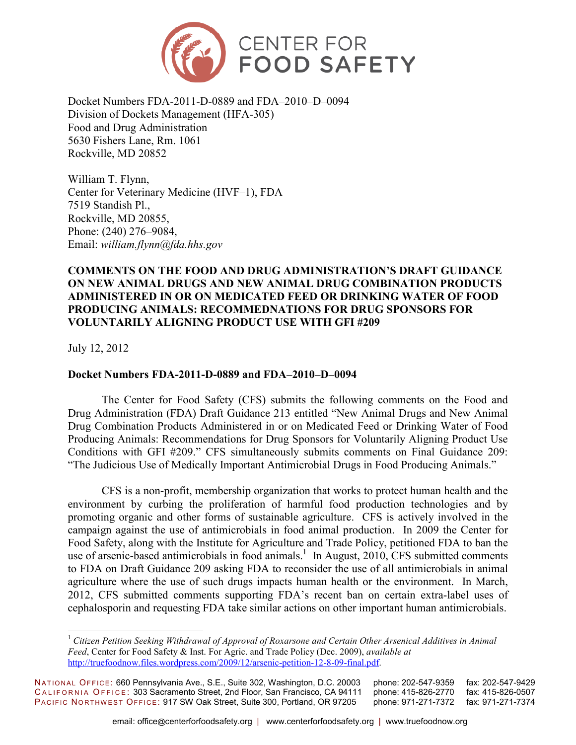

Docket Numbers FDA-2011-D-0889 and FDA–2010–D–0094 Division of Dockets Management (HFA-305) Food and Drug Administration 5630 Fishers Lane, Rm. 1061 Rockville, MD 20852

William T. Flynn, Center for Veterinary Medicine (HVF–1), FDA 7519 Standish Pl., Rockville, MD 20855, Phone: (240) 276–9084, Email: *william.flynn@fda.hhs.gov*

## **COMMENTS ON THE FOOD AND DRUG ADMINISTRATION'S DRAFT GUIDANCE ON NEW ANIMAL DRUGS AND NEW ANIMAL DRUG COMBINATION PRODUCTS ADMINISTERED IN OR ON MEDICATED FEED OR DRINKING WATER OF FOOD PRODUCING ANIMALS: RECOMMEDNATIONS FOR DRUG SPONSORS FOR VOLUNTARILY ALIGNING PRODUCT USE WITH GFI #209**

July 12, 2012

 $\overline{a}$ 

### **Docket Numbers FDA-2011-D-0889 and FDA–2010–D–0094**

The Center for Food Safety (CFS) submits the following comments on the Food and Drug Administration (FDA) Draft Guidance 213 entitled "New Animal Drugs and New Animal Drug Combination Products Administered in or on Medicated Feed or Drinking Water of Food Producing Animals: Recommendations for Drug Sponsors for Voluntarily Aligning Product Use Conditions with GFI #209." CFS simultaneously submits comments on Final Guidance 209: "The Judicious Use of Medically Important Antimicrobial Drugs in Food Producing Animals."

CFS is a non-profit, membership organization that works to protect human health and the environment by curbing the proliferation of harmful food production technologies and by promoting organic and other forms of sustainable agriculture. CFS is actively involved in the campaign against the use of antimicrobials in food animal production. In 2009 the Center for Food Safety, along with the Institute for Agriculture and Trade Policy, petitioned FDA to ban the use of arsenic-based antimicrobials in food animals.<sup>1</sup> In August, 2010, CFS submitted comments to FDA on Draft Guidance 209 asking FDA to reconsider the use of all antimicrobials in animal agriculture where the use of such drugs impacts human health or the environment. In March, 2012, CFS submitted comments supporting FDA's recent ban on certain extra-label uses of cephalosporin and requesting FDA take similar actions on other important human antimicrobials.

NATIONAL OFFICE: 660 Pennsylvania Ave., S.E., Suite 302, Washington, D.C. 20003 phone: 202-547-9359 fax: 202-547-9429<br>CALIFORNIA OFFICE: 303 Sacramento Street, 2nd Floor, San Francisco, CA 94111 phone: 415-826-2770 fax: 41 CALIFORNIA OFFICE: 303 Sacramento Street, 2nd Floor, San Francisco, CA 94111 PACIFIC NORTHWEST OFFICE: 917 SW Oak Street, Suite 300, Portland, OR 97205 phone: 971-271-7372 fax: 971-271-7374

<sup>1</sup> *Citizen Petition Seeking Withdrawal of Approval of Roxarsone and Certain Other Arsenical Additives in Animal Feed*, Center for Food Safety & Inst. For Agric. and Trade Policy (Dec. 2009), *available at*  http://truefoodnow.files.wordpress.com/2009/12/arsenic-petition-12-8-09-final.pdf.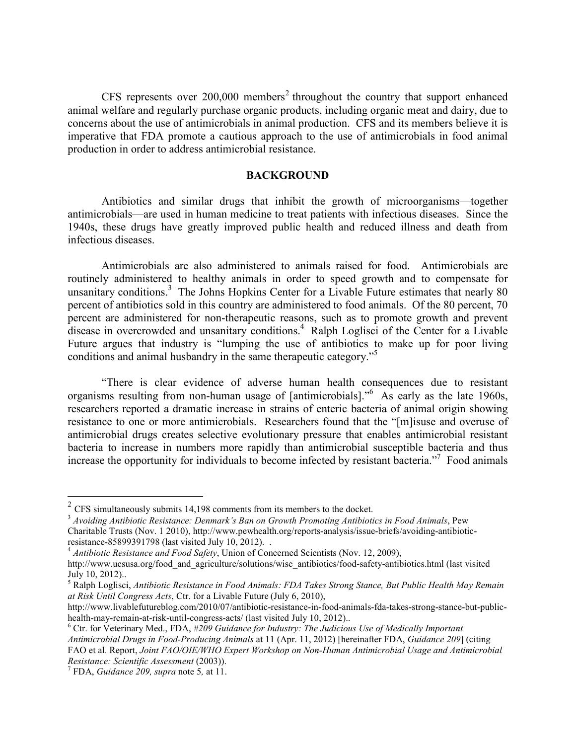CFS represents over  $200,000$  members<sup>2</sup> throughout the country that support enhanced animal welfare and regularly purchase organic products, including organic meat and dairy, due to concerns about the use of antimicrobials in animal production. CFS and its members believe it is imperative that FDA promote a cautious approach to the use of antimicrobials in food animal production in order to address antimicrobial resistance.

#### **BACKGROUND**

Antibiotics and similar drugs that inhibit the growth of microorganisms—together antimicrobials—are used in human medicine to treat patients with infectious diseases. Since the 1940s, these drugs have greatly improved public health and reduced illness and death from infectious diseases.

Antimicrobials are also administered to animals raised for food. Antimicrobials are routinely administered to healthy animals in order to speed growth and to compensate for unsanitary conditions.<sup>3</sup> The Johns Hopkins Center for a Livable Future estimates that nearly 80 percent of antibiotics sold in this country are administered to food animals. Of the 80 percent, 70 percent are administered for non-therapeutic reasons, such as to promote growth and prevent disease in overcrowded and unsanitary conditions.<sup>4</sup> Ralph Loglisci of the Center for a Livable Future argues that industry is "lumping the use of antibiotics to make up for poor living conditions and animal husbandry in the same therapeutic category.<sup>"5</sup>

"There is clear evidence of adverse human health consequences due to resistant organisms resulting from non-human usage of [antimicrobials].<sup>56</sup> As early as the late 1960s, researchers reported a dramatic increase in strains of enteric bacteria of animal origin showing resistance to one or more antimicrobials. Researchers found that the "[m]isuse and overuse of antimicrobial drugs creates selective evolutionary pressure that enables antimicrobial resistant bacteria to increase in numbers more rapidly than antimicrobial susceptible bacteria and thus increase the opportunity for individuals to become infected by resistant bacteria."<sup>7</sup> Food animals

 $\overline{a}$ 

 $2^2$  CFS simultaneously submits 14,198 comments from its members to the docket.

<sup>3</sup> *Avoiding Antibiotic Resistance: Denmark's Ban on Growth Promoting Antibiotics in Food Animals*, Pew Charitable Trusts (Nov. 1 2010), http://www.pewhealth.org/reports-analysis/issue-briefs/avoiding-antibioticresistance-85899391798 (last visited July 10, 2012). .

<sup>4</sup> *Antibiotic Resistance and Food Safety*, Union of Concerned Scientists (Nov. 12, 2009),

http://www.ucsusa.org/food and agriculture/solutions/wise antibiotics/food-safety-antibiotics.html (last visited July 10, 2012)..

<sup>5</sup> Ralph Loglisci, *Antibiotic Resistance in Food Animals: FDA Takes Strong Stance, But Public Health May Remain at Risk Until Congress Acts*, Ctr. for a Livable Future (July 6, 2010),

http://www.livablefutureblog.com/2010/07/antibiotic-resistance-in-food-animals-fda-takes-strong-stance-but-publichealth-may-remain-at-risk-until-congress-acts/ (last visited July 10, 2012)..

<sup>6</sup> Ctr. for Veterinary Med., FDA, *#209 Guidance for Industry: The Judicious Use of Medically Important Antimicrobial Drugs in Food-Producing Animals* at 11 (Apr. 11, 2012) [hereinafter FDA, *Guidance 209*] (citing FAO et al. Report, *Joint FAO/OIE/WHO Expert Workshop on Non-Human Antimicrobial Usage and Antimicrobial Resistance: Scientific Assessment* (2003)).

<sup>7</sup> FDA, *Guidance 209, supra* note 5*,* at 11.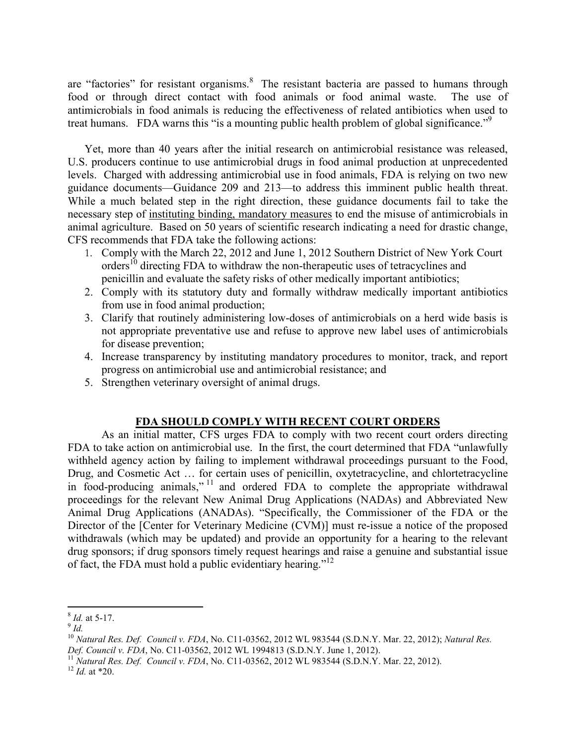are "factories" for resistant organisms. $8$  The resistant bacteria are passed to humans through food or through direct contact with food animals or food animal waste. The use of antimicrobials in food animals is reducing the effectiveness of related antibiotics when used to treat humans. FDA warns this "is a mounting public health problem of global significance."<sup>9</sup>

Yet, more than 40 years after the initial research on antimicrobial resistance was released, U.S. producers continue to use antimicrobial drugs in food animal production at unprecedented levels. Charged with addressing antimicrobial use in food animals, FDA is relying on two new guidance documents—Guidance 209 and 213—to address this imminent public health threat. While a much belated step in the right direction, these guidance documents fail to take the necessary step of instituting binding, mandatory measures to end the misuse of antimicrobials in animal agriculture. Based on 50 years of scientific research indicating a need for drastic change, CFS recommends that FDA take the following actions:

- 1. Comply with the March 22, 2012 and June 1, 2012 Southern District of New York Court orders<sup>10</sup> directing FDA to withdraw the non-therapeutic uses of tetracyclines and penicillin and evaluate the safety risks of other medically important antibiotics;
- 2. Comply with its statutory duty and formally withdraw medically important antibiotics from use in food animal production;
- 3. Clarify that routinely administering low-doses of antimicrobials on a herd wide basis is not appropriate preventative use and refuse to approve new label uses of antimicrobials for disease prevention;
- 4. Increase transparency by instituting mandatory procedures to monitor, track, and report progress on antimicrobial use and antimicrobial resistance; and
- 5. Strengthen veterinary oversight of animal drugs.

# **FDA SHOULD COMPLY WITH RECENT COURT ORDERS**

As an initial matter, CFS urges FDA to comply with two recent court orders directing FDA to take action on antimicrobial use. In the first, the court determined that FDA "unlawfully withheld agency action by failing to implement withdrawal proceedings pursuant to the Food, Drug, and Cosmetic Act … for certain uses of penicillin, oxytetracycline, and chlortetracycline in food-producing animals," <sup>11</sup> and ordered FDA to complete the appropriate withdrawal proceedings for the relevant New Animal Drug Applications (NADAs) and Abbreviated New Animal Drug Applications (ANADAs). "Specifically, the Commissioner of the FDA or the Director of the [Center for Veterinary Medicine (CVM)] must re-issue a notice of the proposed withdrawals (which may be updated) and provide an opportunity for a hearing to the relevant drug sponsors; if drug sponsors timely request hearings and raise a genuine and substantial issue of fact, the FDA must hold a public evidentiary hearing."<sup>12</sup>

 8 *Id.* at 5-17.

<sup>9</sup> *Id.*

<sup>10</sup> *Natural Res. Def. Council v. FDA*, No. C11-03562, 2012 WL 983544 (S.D.N.Y. Mar. 22, 2012); *Natural Res. Def. Council v. FDA*, No. C11-03562, 2012 WL 1994813 (S.D.N.Y. June 1, 2012).

<sup>11</sup> *Natural Res. Def. Council v. FDA*, No. C11-03562, 2012 WL 983544 (S.D.N.Y. Mar. 22, 2012).

 $12$  *Id.* at \*20.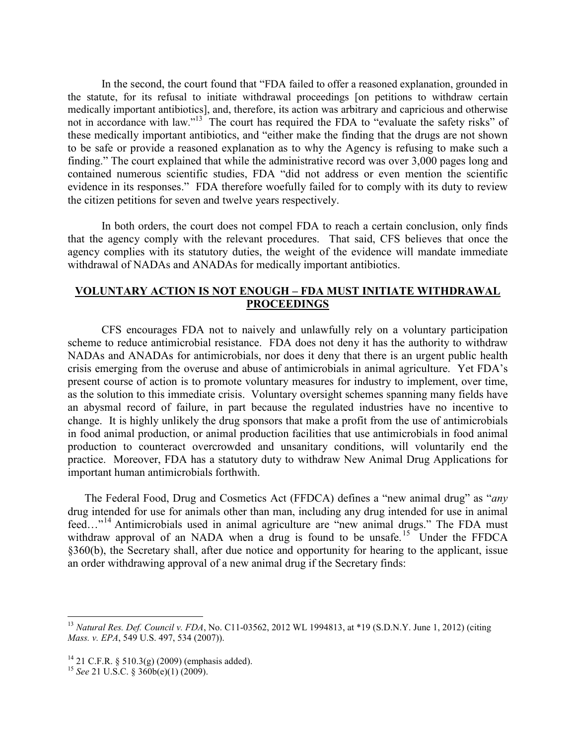In the second, the court found that "FDA failed to offer a reasoned explanation, grounded in the statute, for its refusal to initiate withdrawal proceedings [on petitions to withdraw certain medically important antibiotics], and, therefore, its action was arbitrary and capricious and otherwise not in accordance with law."<sup>13</sup> The court has required the FDA to "evaluate the safety risks" of these medically important antibiotics, and "either make the finding that the drugs are not shown to be safe or provide a reasoned explanation as to why the Agency is refusing to make such a finding." The court explained that while the administrative record was over 3,000 pages long and contained numerous scientific studies, FDA "did not address or even mention the scientific evidence in its responses." FDA therefore woefully failed for to comply with its duty to review the citizen petitions for seven and twelve years respectively.

In both orders, the court does not compel FDA to reach a certain conclusion, only finds that the agency comply with the relevant procedures. That said, CFS believes that once the agency complies with its statutory duties, the weight of the evidence will mandate immediate withdrawal of NADAs and ANADAs for medically important antibiotics.

### **VOLUNTARY ACTION IS NOT ENOUGH – FDA MUST INITIATE WITHDRAWAL PROCEEDINGS**

CFS encourages FDA not to naively and unlawfully rely on a voluntary participation scheme to reduce antimicrobial resistance. FDA does not deny it has the authority to withdraw NADAs and ANADAs for antimicrobials, nor does it deny that there is an urgent public health crisis emerging from the overuse and abuse of antimicrobials in animal agriculture. Yet FDA's present course of action is to promote voluntary measures for industry to implement, over time, as the solution to this immediate crisis. Voluntary oversight schemes spanning many fields have an abysmal record of failure, in part because the regulated industries have no incentive to change. It is highly unlikely the drug sponsors that make a profit from the use of antimicrobials in food animal production, or animal production facilities that use antimicrobials in food animal production to counteract overcrowded and unsanitary conditions, will voluntarily end the practice. Moreover, FDA has a statutory duty to withdraw New Animal Drug Applications for important human antimicrobials forthwith.

The Federal Food, Drug and Cosmetics Act (FFDCA) defines a "new animal drug" as "*any* drug intended for use for animals other than man, including any drug intended for use in animal feed…"<sup>14</sup> Antimicrobials used in animal agriculture are "new animal drugs." The FDA must withdraw approval of an NADA when a drug is found to be unsafe.<sup>15</sup> Under the FFDCA §360(b), the Secretary shall, after due notice and opportunity for hearing to the applicant, issue an order withdrawing approval of a new animal drug if the Secretary finds:

<u>.</u>

<sup>13</sup> *Natural Res. Def. Council v. FDA*, No. C11-03562, 2012 WL 1994813, at \*19 (S.D.N.Y. June 1, 2012) (citing *Mass. v. EPA*, 549 U.S. 497, 534 (2007)).

<sup>&</sup>lt;sup>14</sup> 21 C.F.R. § 510.3(g) (2009) (emphasis added).

<sup>15</sup> *See* 21 U.S.C. § 360b(e)(1) (2009).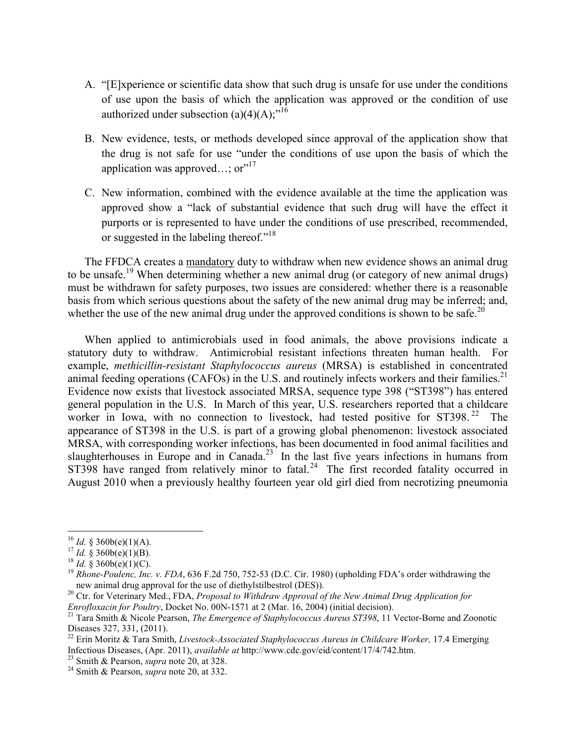- A. "[E]xperience or scientific data show that such drug is unsafe for use under the conditions of use upon the basis of which the application was approved or the condition of use authorized under subsection  $(a)(4)(A)$ ;<sup>"16</sup>
- B. New evidence, tests, or methods developed since approval of the application show that the drug is not safe for use "under the conditions of use upon the basis of which the application was approved...;  $or''^{17}$
- C. New information, combined with the evidence available at the time the application was approved show a "lack of substantial evidence that such drug will have the effect it purports or is represented to have under the conditions of use prescribed, recommended, or suggested in the labeling thereof."<sup>18</sup>

The FFDCA creates a mandatory duty to withdraw when new evidence shows an animal drug to be unsafe.<sup>19</sup> When determining whether a new animal drug (or category of new animal drugs) must be withdrawn for safety purposes, two issues are considered: whether there is a reasonable basis from which serious questions about the safety of the new animal drug may be inferred; and, whether the use of the new animal drug under the approved conditions is shown to be safe.<sup>20</sup>

When applied to antimicrobials used in food animals, the above provisions indicate a statutory duty to withdraw. Antimicrobial resistant infections threaten human health. For example, *methicillin-resistant Staphylococcus aureus* (MRSA) is established in concentrated animal feeding operations (CAFOs) in the U.S. and routinely infects workers and their families.<sup>21</sup> Evidence now exists that livestock associated MRSA, sequence type 398 ("ST398") has entered general population in the U.S. In March of this year, U.S. researchers reported that a childcare worker in Iowa, with no connection to livestock, had tested positive for  $ST398<sup>22</sup>$  The appearance of ST398 in the U.S. is part of a growing global phenomenon: livestock associated MRSA, with corresponding worker infections, has been documented in food animal facilities and slaughterhouses in Europe and in Canada.<sup>23</sup> In the last five years infections in humans from ST398 have ranged from relatively minor to fatal.<sup>24</sup> The first recorded fatality occurred in August 2010 when a previously healthy fourteen year old girl died from necrotizing pneumonia

 $\overline{a}$ 

 $16$  *Id.* § 360b(e)(1)(A).

 $17$  *Id.* § 360b(e)(1)(B).

<sup>&</sup>lt;sup>18</sup> *Id.* § 360b(e)(1)(C).

<sup>&</sup>lt;sup>19</sup> *Rhone-Poulenc, Inc. v. FDA*, 636 F.2d 750, 752-53 (D.C. Cir. 1980) (upholding FDA's order withdrawing the new animal drug approval for the use of diethylstilbestrol (DES)).

<sup>&</sup>lt;sup>20</sup> Ctr. for Veterinary Med., FDA, *Proposal to Withdraw Approval of the New Animal Drug Application for Enrofloxacin for Poultry*, Docket No. 00N-1571 at 2 (Mar. 16, 2004) (initial decision).

<sup>21</sup> Tara Smith & Nicole Pearson, *The Emergence of Staphylococcus Aureus ST398*, 11 Vector-Borne and Zoonotic Diseases 327, 331, (2011).

<sup>22</sup> Erin Moritz & Tara Smith, *Livestock-Associated Staphylococcus Aureus in Childcare Worker,* 17.4 Emerging Infectious Diseases, (Apr. 2011), *available at* http://www.cdc.gov/eid/content/17/4/742.htm.

<sup>23</sup> Smith & Pearson, *supra* note 20, at 328.

<sup>24</sup> Smith & Pearson, *supra* note 20, at 332.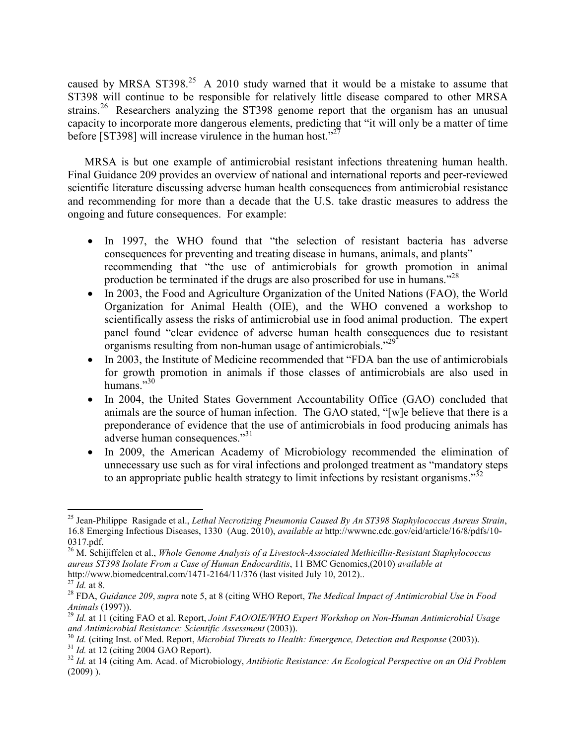caused by MRSA ST398.<sup>25</sup> A 2010 study warned that it would be a mistake to assume that ST398 will continue to be responsible for relatively little disease compared to other MRSA strains.<sup>26</sup> Researchers analyzing the ST398 genome report that the organism has an unusual capacity to incorporate more dangerous elements, predicting that "it will only be a matter of time before [ST398] will increase virulence in the human host."<sup>27</sup>

MRSA is but one example of antimicrobial resistant infections threatening human health. Final Guidance 209 provides an overview of national and international reports and peer-reviewed scientific literature discussing adverse human health consequences from antimicrobial resistance and recommending for more than a decade that the U.S. take drastic measures to address the ongoing and future consequences. For example:

- In 1997, the WHO found that "the selection of resistant bacteria has adverse consequences for preventing and treating disease in humans, animals, and plants" recommending that "the use of antimicrobials for growth promotion in animal production be terminated if the drugs are also proscribed for use in humans."<sup>28</sup>
- In 2003, the Food and Agriculture Organization of the United Nations (FAO), the World Organization for Animal Health (OIE), and the WHO convened a workshop to scientifically assess the risks of antimicrobial use in food animal production. The expert panel found "clear evidence of adverse human health consequences due to resistant organisms resulting from non-human usage of antimicrobials."<sup>29</sup>
- In 2003, the Institute of Medicine recommended that "FDA ban the use of antimicrobials" for growth promotion in animals if those classes of antimicrobials are also used in humans $^{30}$
- In 2004, the United States Government Accountability Office (GAO) concluded that animals are the source of human infection. The GAO stated, "[w]e believe that there is a preponderance of evidence that the use of antimicrobials in food producing animals has adverse human consequences."<sup>31</sup>
- In 2009, the American Academy of Microbiology recommended the elimination of unnecessary use such as for viral infections and prolonged treatment as "mandatory steps to an appropriate public health strategy to limit infections by resistant organisms. $^{32}$

<sup>&</sup>lt;u>.</u> <sup>25</sup> Jean-Philippe Rasigade et al., *Lethal Necrotizing Pneumonia Caused By An ST398 Staphylococcus Aureus Strain*, 16.8 Emerging Infectious Diseases, 1330 (Aug. 2010), *available at* http://wwwnc.cdc.gov/eid/article/16/8/pdfs/10- 0317.pdf.

<sup>26</sup> M. Schijiffelen et al., *Whole Genome Analysis of a Livestock-Associated Methicillin-Resistant Staphylococcus aureus ST398 Isolate From a Case of Human Endocarditis*, 11 BMC Genomics,(2010) *available at* http://www.biomedcentral.com/1471-2164/11/376 (last visited July 10, 2012)..

<sup>27</sup> *Id.* at 8.

<sup>28</sup> FDA, *Guidance 209*, *supra* note 5, at 8 (citing WHO Report, *The Medical Impact of Antimicrobial Use in Food Animals* (1997)).

<sup>29</sup> *Id.* at 11 (citing FAO et al. Report, *Joint FAO/OIE/WHO Expert Workshop on Non-Human Antimicrobial Usage and Antimicrobial Resistance: Scientific Assessment* (2003)).

<sup>30</sup> *Id.* (citing Inst. of Med. Report, *Microbial Threats to Health: Emergence, Detection and Response* (2003)). <sup>31</sup> *Id.* at 12 (citing 2004 GAO Report).

<sup>32</sup> *Id.* at 14 (citing Am. Acad. of Microbiology, *Antibiotic Resistance: An Ecological Perspective on an Old Problem*  $(2009)$ ).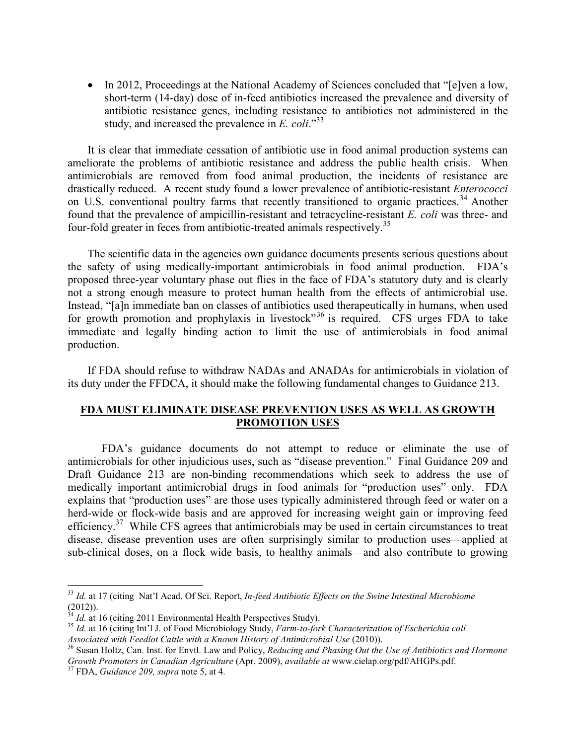• In 2012, Proceedings at the National Academy of Sciences concluded that "[e]ven a low, short-term (14-day) dose of in-feed antibiotics increased the prevalence and diversity of antibiotic resistance genes, including resistance to antibiotics not administered in the study, and increased the prevalence in *E. coli*."<sup>33</sup>

It is clear that immediate cessation of antibiotic use in food animal production systems can ameliorate the problems of antibiotic resistance and address the public health crisis. When antimicrobials are removed from food animal production, the incidents of resistance are drastically reduced. A recent study found a lower prevalence of antibiotic-resistant *Enterococci* on U.S. conventional poultry farms that recently transitioned to organic practices.<sup>34</sup> Another found that the prevalence of ampicillin-resistant and tetracycline-resistant *E. coli* was three- and four-fold greater in feces from antibiotic-treated animals respectively.<sup>35</sup>

The scientific data in the agencies own guidance documents presents serious questions about the safety of using medically-important antimicrobials in food animal production. FDA's proposed three-year voluntary phase out flies in the face of FDA's statutory duty and is clearly not a strong enough measure to protect human health from the effects of antimicrobial use. Instead, "[a]n immediate ban on classes of antibiotics used therapeutically in humans, when used for growth promotion and prophylaxis in livestock<sup>36</sup> is required. CFS urges FDA to take immediate and legally binding action to limit the use of antimicrobials in food animal production.

If FDA should refuse to withdraw NADAs and ANADAs for antimicrobials in violation of its duty under the FFDCA, it should make the following fundamental changes to Guidance 213.

## **FDA MUST ELIMINATE DISEASE PREVENTION USES AS WELL AS GROWTH PROMOTION USES**

FDA's guidance documents do not attempt to reduce or eliminate the use of antimicrobials for other injudicious uses, such as "disease prevention." Final Guidance 209 and Draft Guidance 213 are non-binding recommendations which seek to address the use of medically important antimicrobial drugs in food animals for "production uses" only. FDA explains that "production uses" are those uses typically administered through feed or water on a herd-wide or flock-wide basis and are approved for increasing weight gain or improving feed efficiency.<sup>37</sup> While CFS agrees that antimicrobials may be used in certain circumstances to treat disease, disease prevention uses are often surprisingly similar to production uses—applied at sub-clinical doses, on a flock wide basis, to healthy animals—and also contribute to growing

 $\overline{a}$ 

<sup>33</sup> *Id.* at 17 (citing Nat'l Acad. Of Sci. Report, *In-feed Antibiotic Effects on the Swine Intestinal Microbiome*  $(2012)$ ).

*Id.* at 16 (citing 2011 Environmental Health Perspectives Study).

<sup>35</sup> *Id.* at 16 (citing Int'l J. of Food Microbiology Study, *Farm-to-fork Characterization of Escherichia coli Associated with Feedlot Cattle with a Known History of Antimicrobial Use* (2010)).

<sup>36</sup> Susan Holtz, Can. Inst. for Envtl. Law and Policy, *Reducing and Phasing Out the Use of Antibiotics and Hormone Growth Promoters in Canadian Agriculture* (Apr. 2009), *available at* www.cielap.org/pdf/AHGPs.pdf.

<sup>37</sup> FDA, *Guidance 209, supra* note 5, at 4.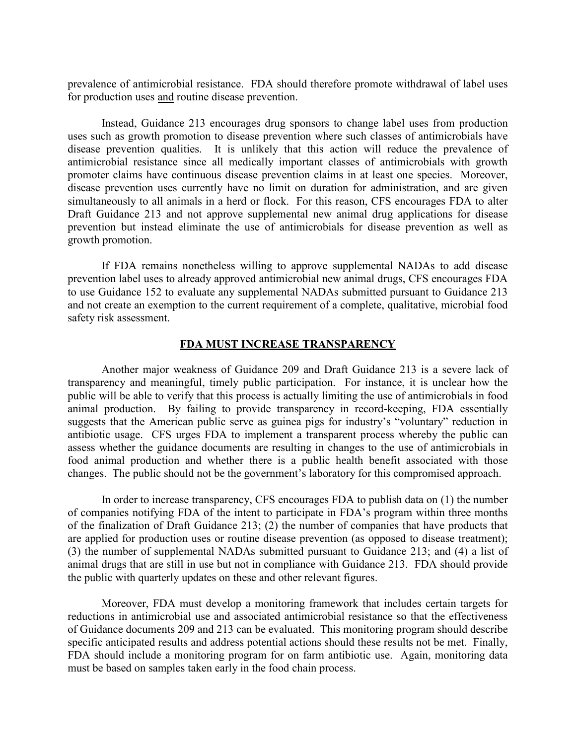prevalence of antimicrobial resistance. FDA should therefore promote withdrawal of label uses for production uses and routine disease prevention.

Instead, Guidance 213 encourages drug sponsors to change label uses from production uses such as growth promotion to disease prevention where such classes of antimicrobials have disease prevention qualities. It is unlikely that this action will reduce the prevalence of antimicrobial resistance since all medically important classes of antimicrobials with growth promoter claims have continuous disease prevention claims in at least one species. Moreover, disease prevention uses currently have no limit on duration for administration, and are given simultaneously to all animals in a herd or flock. For this reason, CFS encourages FDA to alter Draft Guidance 213 and not approve supplemental new animal drug applications for disease prevention but instead eliminate the use of antimicrobials for disease prevention as well as growth promotion.

If FDA remains nonetheless willing to approve supplemental NADAs to add disease prevention label uses to already approved antimicrobial new animal drugs, CFS encourages FDA to use Guidance 152 to evaluate any supplemental NADAs submitted pursuant to Guidance 213 and not create an exemption to the current requirement of a complete, qualitative, microbial food safety risk assessment.

#### **FDA MUST INCREASE TRANSPARENCY**

Another major weakness of Guidance 209 and Draft Guidance 213 is a severe lack of transparency and meaningful, timely public participation. For instance, it is unclear how the public will be able to verify that this process is actually limiting the use of antimicrobials in food animal production. By failing to provide transparency in record-keeping, FDA essentially suggests that the American public serve as guinea pigs for industry's "voluntary" reduction in antibiotic usage. CFS urges FDA to implement a transparent process whereby the public can assess whether the guidance documents are resulting in changes to the use of antimicrobials in food animal production and whether there is a public health benefit associated with those changes. The public should not be the government's laboratory for this compromised approach.

In order to increase transparency, CFS encourages FDA to publish data on (1) the number of companies notifying FDA of the intent to participate in FDA's program within three months of the finalization of Draft Guidance 213; (2) the number of companies that have products that are applied for production uses or routine disease prevention (as opposed to disease treatment); (3) the number of supplemental NADAs submitted pursuant to Guidance 213; and (4) a list of animal drugs that are still in use but not in compliance with Guidance 213. FDA should provide the public with quarterly updates on these and other relevant figures.

Moreover, FDA must develop a monitoring framework that includes certain targets for reductions in antimicrobial use and associated antimicrobial resistance so that the effectiveness of Guidance documents 209 and 213 can be evaluated. This monitoring program should describe specific anticipated results and address potential actions should these results not be met. Finally, FDA should include a monitoring program for on farm antibiotic use. Again, monitoring data must be based on samples taken early in the food chain process.